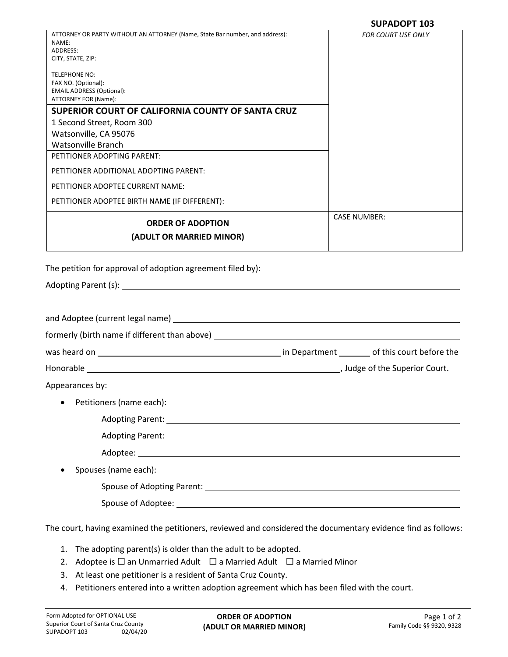|                                                                                                                                       | <b>SUPADOPT 103</b>       |
|---------------------------------------------------------------------------------------------------------------------------------------|---------------------------|
| ATTORNEY OR PARTY WITHOUT AN ATTORNEY (Name, State Bar number, and address):<br>NAME:<br>ADDRESS:<br>CITY, STATE, ZIP:                | <b>FOR COURT USE ONLY</b> |
| TELEPHONE NO:<br>FAX NO. (Optional):<br><b>EMAIL ADDRESS (Optional):</b><br>ATTORNEY FOR (Name):                                      |                           |
| SUPERIOR COURT OF CALIFORNIA COUNTY OF SANTA CRUZ                                                                                     |                           |
| 1 Second Street, Room 300                                                                                                             |                           |
| Watsonville, CA 95076                                                                                                                 |                           |
| <b>Watsonville Branch</b><br>PETITIONER ADOPTING PARENT:                                                                              |                           |
| PETITIONER ADDITIONAL ADOPTING PARENT:                                                                                                |                           |
| PETITIONER ADOPTEE CURRENT NAME:                                                                                                      |                           |
| PETITIONER ADOPTEE BIRTH NAME (IF DIFFERENT):                                                                                         |                           |
|                                                                                                                                       | <b>CASE NUMBER:</b>       |
| <b>ORDER OF ADOPTION</b><br>(ADULT OR MARRIED MINOR)                                                                                  |                           |
|                                                                                                                                       |                           |
| The petition for approval of adoption agreement filed by):                                                                            |                           |
|                                                                                                                                       |                           |
| formerly (birth name if different than above) __________________________________                                                      |                           |
|                                                                                                                                       |                           |
|                                                                                                                                       |                           |
| Appearances by:                                                                                                                       |                           |
| Petitioners (name each):                                                                                                              |                           |
|                                                                                                                                       |                           |
|                                                                                                                                       |                           |
|                                                                                                                                       |                           |
|                                                                                                                                       |                           |
|                                                                                                                                       |                           |
|                                                                                                                                       |                           |
|                                                                                                                                       |                           |
| Spouses (name each):<br>The court, having examined the petitioners, reviewed and considered the documentary evidence find as follows: |                           |

- 1. The adopting parent(s) is older than the adult to be adopted.
- 2. Adoptee is  $\Box$  an Unmarried Adult  $\Box$  a Married Adult  $\Box$  a Married Minor
- 3. At least one petitioner is a resident of Santa Cruz County.
- 4. Petitioners entered into a written adoption agreement which has been filed with the court.